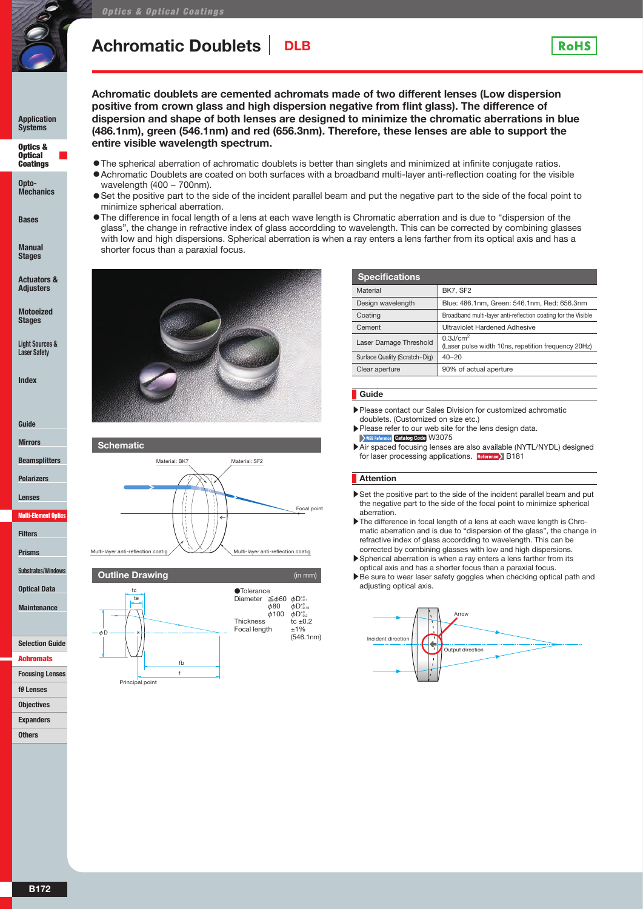

wavelength (400 – 700nm).

minimize spherical aberration.

shorter focus than a paraxial focus.

## **Achromatic Doublets** DLB

**entire visible wavelength spectrum.**

**Application Systems**

**Ontics &** Optical Coatings

**Opto-Mechanics**

**Bases**

**Stages**

**Adjusters**

**Stages**

**Index**





**Outline Drawing**



| <b>Specifications</b>         |                                                                                |
|-------------------------------|--------------------------------------------------------------------------------|
| Material                      | <b>BK7, SF2</b>                                                                |
| Design wavelength             | Blue: 486.1nm, Green: 546.1nm, Red: 656.3nm                                    |
| Coating                       | Broadband multi-layer anti-reflection coating for the Visible                  |
| Cement                        | Ultraviolet Hardened Adhesive                                                  |
| Laser Damage Threshold        | $0.3$ J/cm <sup>2</sup><br>(Laser pulse width 10ns, repetition frequency 20Hz) |
| Surface Quality (Scratch-Dig) | $40 - 20$                                                                      |
| Clear aperture                | 90% of actual aperture                                                         |
|                               |                                                                                |

**RoHS** 

- ▶Please contact our Sales Division for customized achromatic
- ▶Please refer to our web site for the lens design data. WEB Reference Catalog Code W3075
- ▶Air spaced focusing lenses are also available (NYTL/NYDL) designed for laser processing applications. Reference> B181

#### **Attention**

- ▶Set the positive part to the side of the incident parallel beam and put the negative part to the side of the focal point to minimize spherical aberration.
- ▶ The difference in focal length of a lens at each wave length is Chromatic aberration and is due to "dispersion of the glass", the change in refractive index of glass accordding to wavelength. This can be corrected by combining glasses with low and high dispersions.
- ▶Spherical aberration is when a ray enters a lens farther from its optical axis and has a shorter focus than a paraxial focus.
- ▶Be sure to wear laser safety goggles when checking optical path and adiusting optical axis.



**Manual** 

**Actuators &** 

**Motoeized** 

**Light Sources & Laser Safety**

**Guide**

**Mirrors**

**Beamsplitters**

**Polarizers**

**Lenses**

Multi-Element Or

**Filters**

**Prisms**

**Substrates/Window** 

**Optical Data**

**Maintenance**

**Selection Guide**

**Achromate** 

**Focusing Lenses**

**fθ Lenses**

**Objectives**

**Expanders**

**Others**



**Guide**

doublets. (Customized on size etc.)

◦The spherical aberration of achromatic doublets is better than singlets and minimized at infinite conjugate ratios. ◦Achromatic Doublets are coated on both surfaces with a broadband multi-layer anti-reflection coating for the visible

**Achromatic doublets are cemented achromats made of two different lenses (Low dispersion positive from crown glass and high dispersion negative from flint glass). The difference of dispersion and shape of both lenses are designed to minimize the chromatic aberrations in blue (486.1nm), green (546.1nm) and red (656.3nm). Therefore, these lenses are able to support the** 

● Set the positive part to the side of the incident parallel beam and put the negative part to the side of the focal point to

◦The difference in focal length of a lens at each wave length is Chromatic aberration and is due to "dispersion of the glass", the change in refractive index of glass accordding to wavelength. This can be corrected by combining glasses with low and high dispersions. Spherical aberration is when a ray enters a lens farther from its optical axis and has a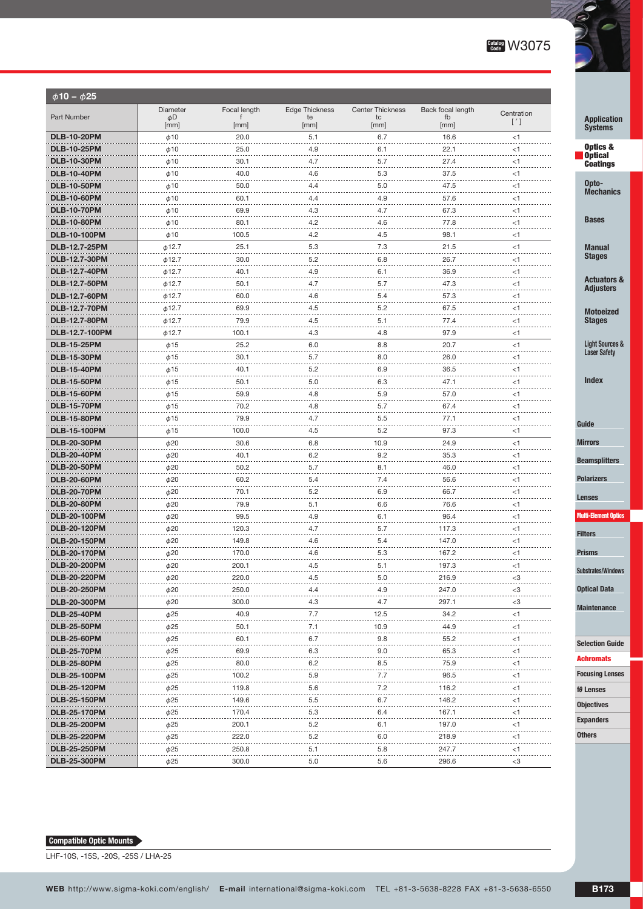

| $\phi$ 10 - $\phi$ 25 |                      |              |                       |                         |                   |               |                                            |
|-----------------------|----------------------|--------------|-----------------------|-------------------------|-------------------|---------------|--------------------------------------------|
|                       | <b>Diameter</b>      | Focal length | <b>Edge Thickness</b> | <b>Center Thickness</b> | Back focal length | Centration    |                                            |
| Part Number           | φD<br>[mm]           | f<br>[mm]    | te<br>[mm]            | tc<br>[mm]              | fb<br>[mm]        | $[^{\prime}]$ | <b>Application</b><br><b>Systems</b>       |
| <b>DLB-10-20PM</b>    | $\phi$ 10            | 20.0         | 5.1                   | 6.7                     | 16.6              | $<$ 1         |                                            |
| <b>DLB-10-25PM</b>    | $\phi$ 10            | 25.0         | 4.9                   | 6.1                     | 22.1              | $<$ 1         | Optics &                                   |
| <b>DLB-10-30PM</b>    | $\phi$ 10            | 30.1         | 4.7                   | 5.7                     | 27.4              | $<$ 1         | <b>Optical</b><br><b>Coatings</b>          |
| <b>DLB-10-40PM</b>    | $\phi$ 10            | 40.0         | 4.6                   | 5.3                     | 37.5              | $<$ 1         |                                            |
| <b>DLB-10-50PM</b>    | $\phi$ 10            | 50.0         | 4.4                   | 5.0                     | 47.5              | $<$ 1         | Opto-                                      |
| <b>DLB-10-60PM</b>    | $\phi$ 10            | 60.1         | 4.4                   | 4.9                     | 57.6              | $<$ 1         | <b>Mechanics</b>                           |
| <b>DLB-10-70PM</b>    | $\phi$ 10            | 69.9         | 4.3                   | 4.7                     | 67.3              | $<$ 1         |                                            |
| <b>DLB-10-80PM</b>    | $\phi$ 10            | 80.1         | 4.2                   | 4.6                     | 77.8              | $<$ 1         | <b>Bases</b>                               |
| <b>DLB-10-100PM</b>   | $\phi$ 10            | 100.5        | 4.2                   | 4.5                     | 98.1              | $<$ 1         |                                            |
| DLB-12.7-25PM         | $\phi$ 12.7          | 25.1         | 5.3                   | 7.3                     | 21.5              | $<$ 1         | <b>Manual</b>                              |
| DLB-12.7-30PM         | $\phi$ 12.7          | 30.0         | 5.2                   | 6.8                     | 26.7              | $<$ 1         | <b>Stages</b>                              |
| DLB-12.7-40PM         | $\phi$ 12.7          | 40.1         | 4.9                   | 6.1                     | 36.9              | $<$ 1         |                                            |
| DLB-12.7-50PM         | $\phi$ 12.7          | 50.1         | 4.7                   | 5.7                     | 47.3              | $<$ 1         | <b>Actuators &amp;</b><br><b>Adjusters</b> |
| DLB-12.7-60PM         | $\phi$ 12.7          | 60.0         | 4.6                   | 5.4                     | 57.3              | $<$ 1         |                                            |
| <b>DLB-12.7-70PM</b>  | $\phi$ 12.7          | 69.9         | 4.5                   | 5.2                     | 67.5              | $<$ 1         | <b>Motoeized</b>                           |
| <b>DLB-12.7-80PM</b>  | $\phi$ 12.7          | 79.9         | 4.5                   | 5.1                     | 77.4              | $<$ 1         | <b>Stages</b>                              |
| DLB-12.7-100PM        | $\phi$ 12.7          | 100.1        | 4.3                   | 4.8                     | 97.9              | $<$ 1         |                                            |
| <b>DLB-15-25PM</b>    | $\phi$ 15            | 25.2         | 6.0                   | 8.8                     | 20.7              | $<$ 1         | <b>Light Sources &amp;</b>                 |
| <b>DLB-15-30PM</b>    | $\phi$ 15            | 30.1         | 5.7                   | 8.0                     | 26.0              | $<$ 1         | <b>Laser Safety</b>                        |
| <b>DLB-15-40PM</b>    | $\phi$ 15            | 40.1         | 5.2                   | 6.9                     | 36.5              | $<$ 1         |                                            |
| <b>DLB-15-50PM</b>    | $\phi$ 15            | 50.1         | 5.0                   | 6.3                     | 47.1              | $<$ 1         | <b>Index</b>                               |
| <b>DLB-15-60PM</b>    | $\phi$ 15            | 59.9         | 4.8                   | 5.9                     | 57.0              | $<$ 1         |                                            |
| <b>DLB-15-70PM</b>    | $\phi$ 15            | 70.2         | 4.8                   | 5.7                     | 67.4              | $<$ 1         |                                            |
| <b>DLB-15-80PM</b>    | $\phi$ 15            | 79.9         | 4.7                   | 5.5                     | 77.1              | $<$ 1         | Guide                                      |
| <b>DLB-15-100PM</b>   | $\phi$ 15            | 100.0        | 4.5                   | 5.2                     | 97.3              | $<$ 1         |                                            |
| <b>DLB-20-30PM</b>    | $\phi$ 20            | 30.6         | 6.8                   | 10.9                    | 24.9              | $<$ 1         | <b>Mirrors</b>                             |
| <b>DLB-20-40PM</b>    | $\phi$ 20            | 40.1         | 6.2                   | 9.2                     | 35.3              | $<$ 1         | <b>Beamsplitters</b>                       |
| <b>DLB-20-50PM</b>    | $\phi$ 20            | 50.2         | 5.7                   | 8.1                     | 46.0              | $<$ 1         |                                            |
| <b>DLB-20-60PM</b>    | $\phi$ <sub>20</sub> | 60.2         | 5.4                   | 7.4                     | 56.6              | <1            | <b>Polarizers</b>                          |
| <b>DLB-20-70PM</b>    | $\phi$ 20            | 70.1         | 5.2                   | 6.9                     | 66.7              | $<$ 1         | <b>Lenses</b>                              |
| <b>DLB-20-80PM</b>    | $\phi$ 20            | 79.9         | 5.1                   | 6.6                     | 76.6              | $<$ 1         |                                            |
| <b>DLB-20-100PM</b>   | $\phi$ 20            | 99.5         | 4.9                   | 6.1                     | 96.4              | $<$ 1         | <b>Multi-Element Optics</b>                |
| <b>DLB-20-120PM</b>   | $\phi$ 20            | 120.3        | 4.7                   | 5.7                     | 117.3             | $<$ 1         | <b>Filters</b>                             |
| <b>DLB-20-150PM</b>   | $\phi$ <sub>20</sub> | 149.8        | 4.6                   | 5.4                     | 147.0             | $<$ 1         |                                            |
| <b>DLB-20-170PM</b>   | $\phi$ 20            | 170.0        | 4.6                   | 5.3                     | 167.2             | $<$ 1         | <b>Prisms</b>                              |
| <b>DLB-20-200PM</b>   | 620                  | 200.1        | 4.5                   | 5.1                     | 197.3             | <1            | <b>Substrates/Windows</b>                  |
| <b>DLB-20-220PM</b>   | $\phi$ 20            | 220.0        | 4.5                   | 5.0                     | 216.9             | $<$ 3         |                                            |
| <b>DLB-20-250PM</b>   | $\phi$ 20            | 250.0        | 4.4                   | 4.9                     | 247.0             | $<$ 3         | <b>Optical Data</b>                        |
| <b>DLB-20-300PM</b>   | $\phi$ 20            | 300.0        | 4.3                   | 4.7                     | 297.1             | $<$ 3         | <b>Maintenance</b>                         |
| <b>DLB-25-40PM</b>    | $\phi$ 25            | 40.9         | 7.7                   | 12.5                    | 34.2              | $<$ 1         |                                            |
| <b>DLB-25-50PM</b>    | ф25                  | 50.1         | 7.1                   | 10.9                    | 44.9              | $<$ 1         |                                            |
| <b>DLB-25-60PM</b>    | $\phi$ 25            | 60.1         | 6.7                   | 9.8                     | 55.2              | $<$ 1         | <b>Selection Guide</b>                     |
| <b>DLB-25-70PM</b>    | $\phi$ 25            | 69.9         | 6.3                   | 9.0                     | 65.3              | $<$ 1         | <b>Achromats</b>                           |
| <b>DLB-25-80PM</b>    | $\phi$ 25            | 80.0         | 6.2                   | 8.5                     | 75.9              | $<$ 1         |                                            |
| <b>DLB-25-100PM</b>   | $\phi$ 25            | 100.2        | 5.9                   | 7.7                     | 96.5              | $<$ 1         | <b>Focusing Lenses</b>                     |
| <b>DLB-25-120PM</b>   | $\phi$ 25            | 119.8        | 5.6                   | 7.2                     | 116.2             | $<$ 1         | $f\theta$ Lenses                           |
| <b>DLB-25-150PM</b>   | $\phi$ 25            | 149.6        | 5.5                   | 6.7                     | 146.2             | <1            | <b>Objectives</b>                          |
| <b>DLB-25-170PM</b>   | $\phi$ 25            | 170.4        | 5.3                   | 6.4                     | 167.1             | <1            |                                            |
| <b>DLB-25-200PM</b>   | $\phi$ 25            | 200.1        | 5.2                   | 6.1                     | 197.0             | <1            | <b>Expanders</b>                           |
| <b>DLB-25-220PM</b>   | $\phi$ 25            | 222.0        | 5.2                   | 6.0                     | 218.9             | <1            | <b>Others</b>                              |
| <b>DLB-25-250PM</b>   | $\phi$ 25            | 250.8        | 5.1                   | 5.8                     | 247.7             | <1            |                                            |
| <b>DLB-25-300PM</b>   | $\phi$ 25            | 300.0        | 5.0                   | 5.6                     | 296.6             | $<$ 3         |                                            |

#### **Compatible Optic Mounts**

LHF-10S, -15S, -20S, -25S / LHA-25

t Optics